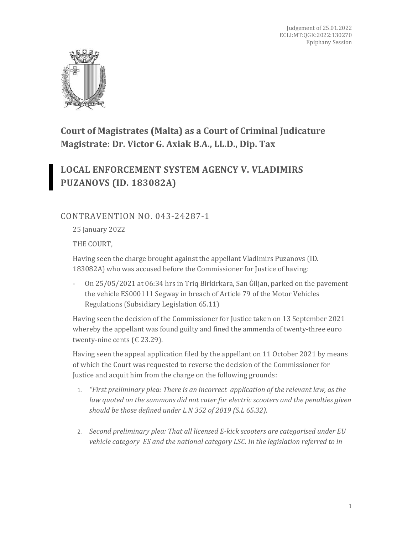

**Court of Magistrates (Malta) as a Court of Criminal Judicature Magistrate: Dr. Victor G. Axiak B.A., LL.D., Dip. Tax**

# **LOCAL ENFORCEMENT SYSTEM AGENCY V. VLADIMIRS PUZANOVS (ID. 183082A)**

## CONTRAVENTION NO. 043-24287-1

25 January 2022

THE COURT,

Having seen the charge brought against the appellant Vladimirs Puzanovs (ID. 183082A) who was accused before the Commissioner for Justice of having:

- On 25/05/2021 at 06:34 hrs in Triq Birkirkara, San Ġiljan, parked on the pavement the vehicle ES000111 Segway in breach of Article 79 of the Motor Vehicles Regulations (Subsidiary Legislation 65.11)

Having seen the decision of the Commissioner for Justice taken on 13 September 2021 whereby the appellant was found guilty and fined the ammenda of twenty-three euro twenty-nine cents ( $\in$  23.29).

Having seen the appeal application filed by the appellant on 11 October 2021 by means of which the Court was requested to reverse the decision of the Commissioner for Justice and acquit him from the charge on the following grounds:

- 1. *"First preliminary plea: There is an incorrect application of the relevant law, as the law quoted on the summons did not cater for electric scooters and the penalties given should be those defined under L.N 352 of 2019 (S.L 65.32).*
- 2. *Second preliminary plea: That all licensed E-kick scooters are categorised under EU vehicle category ES and the national category LSC. In the legislation referred to in*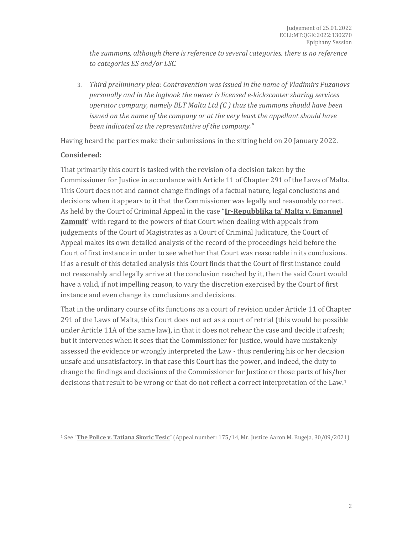*the summons, although there is reference to several categories, there is no reference to categories ES and/or LSC.* 

3. *Third preliminary plea: Contravention was issued in the name of Vladimirs Puzanovs personally and in the logbook the owner is licensed e-kickscooter sharing services operator company, namely BLT Malta Ltd (C ) thus the summons should have been issued on the name of the company or at the very least the appellant should have been indicated as the representative of the company."*

Having heard the parties make their submissions in the sitting held on 20 January 2022.

#### **Considered:**

That primarily this court is tasked with the revision of a decision taken by the Commissioner for Justice in accordance with Article 11 of Chapter 291 of the Laws of Malta. This Court does not and cannot change findings of a factual nature, legal conclusions and decisions when it appears to it that the Commissioner was legally and reasonably correct. As held by the Court of Criminal Appeal in the case "**Ir-Repubblika ta' Malta v. Emanuel Zammit**" with regard to the powers of that Court when dealing with appeals from judgements of the Court of Magistrates as a Court of Criminal Judicature, the Court of Appeal makes its own detailed analysis of the record of the proceedings held before the Court of first instance in order to see whether that Court was reasonable in its conclusions. If as a result of this detailed analysis this Court finds that the Court of first instance could not reasonably and legally arrive at the conclusion reached by it, then the said Court would have a valid, if not impelling reason, to vary the discretion exercised by the Court of first instance and even change its conclusions and decisions.

That in the ordinary course of its functions as a court of revision under Article 11 of Chapter 291 of the Laws of Malta, this Court does not act as a court of retrial (this would be possible under Article 11A of the same law), in that it does not rehear the case and decide it afresh; but it intervenes when it sees that the Commissioner for Justice, would have mistakenly assessed the evidence or wrongly interpreted the Law - thus rendering his or her decision unsafe and unsatisfactory. In that case this Court has the power, and indeed, the duty to change the findings and decisions of the Commissioner for Justice or those parts of his/her decisions that result to be wrong or that do not reflect a correct interpretation of the Law.[1](#page-1-0)

<span id="page-1-0"></span><sup>1</sup> See "**The Police v. Tatiana Skoric Tesic**" (Appeal number: 175/14, Mr. Justice Aaron M. Bugeja, 30/09/2021)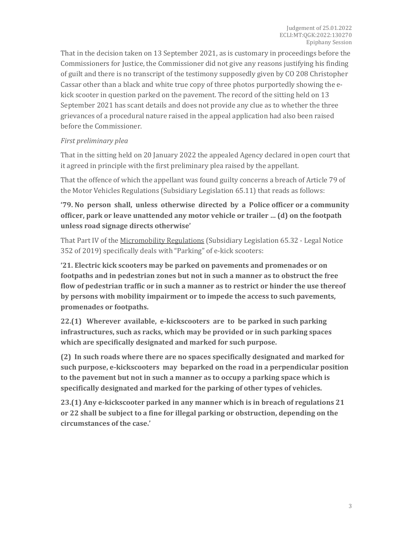That in the decision taken on 13 September 2021, as is customary in proceedings before the Commissioners for Justice, the Commissioner did not give any reasons justifying his finding of guilt and there is no transcript of the testimony supposedly given by CO 208 Christopher Cassar other than a black and white true copy of three photos purportedly showing the ekick scooter in question parked on the pavement. The record of the sitting held on 13 September 2021 has scant details and does not provide any clue as to whether the three grievances of a procedural nature raised in the appeal application had also been raised before the Commissioner.

#### *First preliminary plea*

That in the sitting held on 20 January 2022 the appealed Agency declared in open court that it agreed in principle with the first preliminary plea raised by the appellant.

That the offence of which the appellant was found guilty concerns a breach of Article 79 of the Motor Vehicles Regulations (Subsidiary Legislation 65.11) that reads as follows:

**'79. No person shall, unless otherwise directed by a Police officer or a community officer, park or leave unattended any motor vehicle or trailer … (d) on the footpath unless road signage directs otherwise'**

That Part IV of the Micromobility Regulations (Subsidiary Legislation 65.32 - Legal Notice 352 of 2019) specifically deals with "Parking" of e-kick scooters:

**'21. Electric kick scooters may be parked on pavements and promenades or on footpaths and in pedestrian zones but not in such a manner as to obstruct the free flow of pedestrian traffic or in such a manner as to restrict or hinder the use thereof by persons with mobility impairment or to impede the access to such pavements, promenades or footpaths.** 

**22.(1) Wherever available, e-kickscooters are to be parked in such parking infrastructures, such as racks, which may be provided or in such parking spaces which are specifically designated and marked for such purpose.** 

**(2) In such roads where there are no spaces specifically designated and marked for such purpose, e-kickscooters may beparked on the road in a perpendicular position to the pavement but not in such a manner as to occupy a parking space which is specifically designated and marked for the parking of other types of vehicles.** 

**23.(1) Any e-kickscooter parked in any manner which is in breach of regulations 21 or 22 shall be subject to a fine for illegal parking or obstruction, depending on the circumstances of the case.'**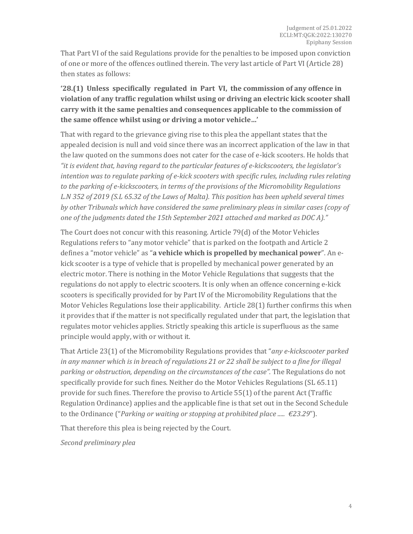That Part VI of the said Regulations provide for the penalties to be imposed upon conviction of one or more of the offences outlined therein. The very last article of Part VI (Article 28) then states as follows:

**'28.(1) Unless specifically regulated in Part VI, the commission of any offence in violation of any traffic regulation whilst using or driving an electric kick scooter shall carry with it the same penalties and consequences applicable to the commission of the same offence whilst using or driving a motor vehicle…'**

That with regard to the grievance giving rise to this plea the appellant states that the appealed decision is null and void since there was an incorrect application of the law in that the law quoted on the summons does not cater for the case of e-kick scooters. He holds that *"it is evident that, having regard to the particular features of e-kickscooters, the legislator's intention was to regulate parking of e-kick scooters with specific rules, including rules relating to the parking of e-kickscooters, in terms of the provisions of the Micromobility Regulations L.N 352 of 2019 (S.L 65.32 of the Laws of Malta). This position has been upheld several times by other Tribunals which have considered the same preliminary pleas in similar cases (copy of one of the judgments dated the 15th September 2021 attached and marked as DOC A)."*

The Court does not concur with this reasoning. Article 79(d) of the Motor Vehicles Regulations refers to "any motor vehicle" that is parked on the footpath and Article 2 defines a "motor vehicle" as "**a vehicle which is propelled by mechanical power**". An ekick scooter is a type of vehicle that is propelled by mechanical power generated by an electric motor. There is nothing in the Motor Vehicle Regulations that suggests that the regulations do not apply to electric scooters. It is only when an offence concerning e-kick scooters is specifically provided for by Part IV of the Micromobility Regulations that the Motor Vehicles Regulations lose their applicability. Article 28(1) further confirms this when it provides that if the matter is not specifically regulated under that part, the legislation that regulates motor vehicles applies. Strictly speaking this article is superfluous as the same principle would apply, with or without it.

That Article 23(1) of the Micromobility Regulations provides that "*any e-kickscooter parked in any manner which is in breach of regulations 21 or 22 shall be subject to a fine for illegal*  parking or obstruction, depending on the circumstances of the case". The Regulations do not specifically provide for such fines. Neither do the Motor Vehicles Regulations (SL 65.11) provide for such fines. Therefore the proviso to Article 55(1) of the parent Act (Traffic Regulation Ordinance) applies and the applicable fine is that set out in the Second Schedule to the Ordinance ("*Parking or waiting or stopping at prohibited place ..... €23.29*").

That therefore this plea is being rejected by the Court.

*Second preliminary plea*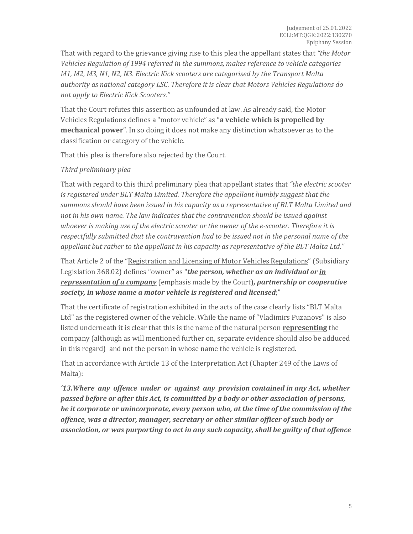That with regard to the grievance giving rise to this plea the appellant states that *"the Motor Vehicles Regulation of 1994 referred in the summons, makes reference to vehicle categories M1, M2, M3, N1, N2, N3. Electric Kick scooters are categorised by the Transport Malta authority as national category LSC. Therefore it is clear that Motors Vehicles Regulations do not apply to Electric Kick Scooters."*

That the Court refutes this assertion as unfounded at law. As already said, the Motor Vehicles Regulations defines a "motor vehicle" as "**a vehicle which is propelled by mechanical power**". In so doing it does not make any distinction whatsoever as to the classification or category of the vehicle.

That this plea is therefore also rejected by the Court.

#### *Third preliminary plea*

That with regard to this third preliminary plea that appellant states that *"the electric scooter is registered under BLT Malta Limited. Therefore the appellant humbly suggest that the summons should have been issued in his capacity as a representative of BLT Malta Limited and not in his own name. The law indicates that the contravention should be issued against whoever is making use of the electric scooter or the owner of the e-scooter. Therefore it is respectfully submitted that the contravention had to be issued not in the personal name of the appellant but rather to the appellant in his capacity as representative of the BLT Malta Ltd."*

That Article 2 of the "Registration and Licensing of Motor Vehicles Regulations" (Subsidiary Legislation 368.02) defines "owner" as "*the person, whether as an individual or in representation of a company* (emphasis made by the Court)*, partnership or cooperative society, in whose name a motor vehicle is registered and licensed*;"

That the certificate of registration exhibited in the acts of the case clearly lists "BLT Malta Ltd" as the registered owner of the vehicle. While the name of "Vladimirs Puzanovs" is also listed underneath it is clear that this is the name of the natural person **representing** the company (although as will mentioned further on, separate evidence should also be adduced in this regard) and not the person in whose name the vehicle is registered.

That in accordance with Article 13 of the Interpretation Act (Chapter 249 of the Laws of Malta):

*'13.Where any offence under or against any provision contained in any Act, whether passed before or after this Act, is committed by a body or other association of persons, be it corporate or unincorporate, every person who, at the time of the commission of the offence, was a director, manager, secretary or other similar officer of such body or association, or was purporting to act in any such capacity, shall be guilty of that offence*